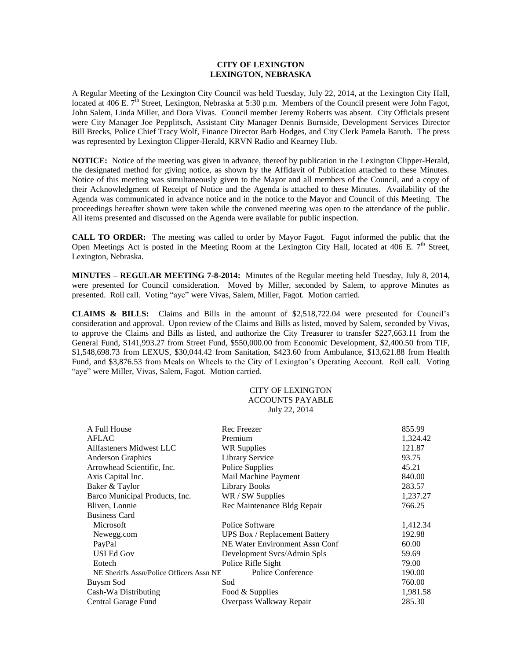## **CITY OF LEXINGTON LEXINGTON, NEBRASKA**

A Regular Meeting of the Lexington City Council was held Tuesday, July 22, 2014, at the Lexington City Hall, located at 406 E.  $\overline{7}^{\text{th}}$  Street, Lexington, Nebraska at 5:30 p.m. Members of the Council present were John Fagot, John Salem, Linda Miller, and Dora Vivas. Council member Jeremy Roberts was absent. City Officials present were City Manager Joe Pepplitsch, Assistant City Manager Dennis Burnside, Development Services Director Bill Brecks, Police Chief Tracy Wolf, Finance Director Barb Hodges, and City Clerk Pamela Baruth. The press was represented by Lexington Clipper-Herald, KRVN Radio and Kearney Hub.

**NOTICE:** Notice of the meeting was given in advance, thereof by publication in the Lexington Clipper-Herald, the designated method for giving notice, as shown by the Affidavit of Publication attached to these Minutes. Notice of this meeting was simultaneously given to the Mayor and all members of the Council, and a copy of their Acknowledgment of Receipt of Notice and the Agenda is attached to these Minutes. Availability of the Agenda was communicated in advance notice and in the notice to the Mayor and Council of this Meeting. The proceedings hereafter shown were taken while the convened meeting was open to the attendance of the public. All items presented and discussed on the Agenda were available for public inspection.

**CALL TO ORDER:** The meeting was called to order by Mayor Fagot. Fagot informed the public that the Open Meetings Act is posted in the Meeting Room at the Lexington City Hall, located at 406 E.  $7<sup>th</sup>$  Street, Lexington, Nebraska.

**MINUTES – REGULAR MEETING 7-8-2014:** Minutes of the Regular meeting held Tuesday, July 8, 2014, were presented for Council consideration. Moved by Miller, seconded by Salem, to approve Minutes as presented. Roll call. Voting "aye" were Vivas, Salem, Miller, Fagot. Motion carried.

**CLAIMS & BILLS:** Claims and Bills in the amount of \$2,518,722.04 were presented for Council's consideration and approval. Upon review of the Claims and Bills as listed, moved by Salem, seconded by Vivas, to approve the Claims and Bills as listed, and authorize the City Treasurer to transfer \$227,663.11 from the General Fund, \$141,993.27 from Street Fund, \$550,000.00 from Economic Development, \$2,400.50 from TIF, \$1,548,698.73 from LEXUS, \$30,044.42 from Sanitation, \$423.60 from Ambulance, \$13,621.88 from Health Fund, and \$3,876.53 from Meals on Wheels to the City of Lexington's Operating Account. Roll call. Voting "aye" were Miller, Vivas, Salem, Fagot. Motion carried.

## CITY OF LEXINGTON ACCOUNTS PAYABLE July 22, 2014

| A Full House                             | Rec Freezer                          | 855.99   |
|------------------------------------------|--------------------------------------|----------|
| AFLAC                                    | Premium                              | 1,324.42 |
| Allfasteners Midwest LLC                 | WR Supplies                          | 121.87   |
| <b>Anderson Graphics</b>                 | <b>Library Service</b>               | 93.75    |
| Arrowhead Scientific, Inc.               | Police Supplies                      | 45.21    |
| Axis Capital Inc.                        | Mail Machine Payment                 | 840.00   |
| Baker & Taylor                           | Library Books                        | 283.57   |
| Barco Municipal Products, Inc.           | WR / SW Supplies                     | 1,237.27 |
| Bliven, Lonnie                           | Rec Maintenance Bldg Repair          | 766.25   |
| <b>Business Card</b>                     |                                      |          |
| Microsoft                                | Police Software                      | 1,412.34 |
| Newegg.com                               | <b>UPS Box / Replacement Battery</b> | 192.98   |
| PayPal                                   | NE Water Environment Assn Conf       | 60.00    |
| USI Ed Gov                               | Development Svcs/Admin Spls          | 59.69    |
| Eotech                                   | Police Rifle Sight                   | 79.00    |
| NE Sheriffs Assn/Police Officers Assn NE | Police Conference                    | 190.00   |
| Buysm Sod                                | Sod                                  | 760.00   |
| Cash-Wa Distributing                     | Food & Supplies                      | 1,981.58 |
| Central Garage Fund                      | Overpass Walkway Repair              | 285.30   |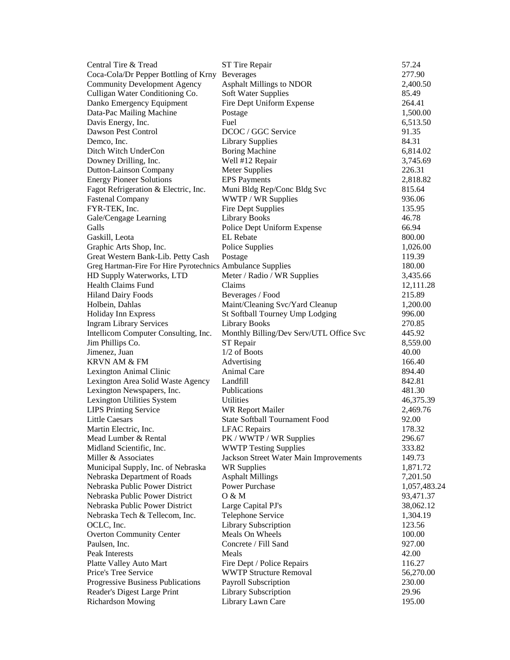| Central Tire & Tread                                       | ST Tire Repair                          | 57.24        |
|------------------------------------------------------------|-----------------------------------------|--------------|
| Coca-Cola/Dr Pepper Bottling of Krny                       | <b>Beverages</b>                        | 277.90       |
| <b>Community Development Agency</b>                        | <b>Asphalt Millings to NDOR</b>         | 2,400.50     |
| Culligan Water Conditioning Co.                            | Soft Water Supplies                     | 85.49        |
| Danko Emergency Equipment                                  | Fire Dept Uniform Expense               | 264.41       |
| Data-Pac Mailing Machine                                   | Postage                                 | 1,500.00     |
| Davis Energy, Inc.                                         | Fuel                                    | 6,513.50     |
| Dawson Pest Control                                        | DCOC / GGC Service                      | 91.35        |
| Demco, Inc.                                                | <b>Library Supplies</b>                 | 84.31        |
| Ditch Witch UnderCon                                       | <b>Boring Machine</b>                   | 6,814.02     |
| Downey Drilling, Inc.                                      | Well #12 Repair                         | 3,745.69     |
| Dutton-Lainson Company                                     | <b>Meter Supplies</b>                   | 226.31       |
| <b>Energy Pioneer Solutions</b>                            | <b>EPS</b> Payments                     | 2,818.82     |
| Fagot Refrigeration & Electric, Inc.                       | Muni Bldg Rep/Conc Bldg Svc             | 815.64       |
| <b>Fastenal Company</b>                                    | WWTP / WR Supplies                      | 936.06       |
| FYR-TEK, Inc.                                              | Fire Dept Supplies                      | 135.95       |
| Gale/Cengage Learning                                      | <b>Library Books</b>                    | 46.78        |
| Galls                                                      | Police Dept Uniform Expense             | 66.94        |
| Gaskill, Leota                                             | <b>EL</b> Rebate                        | 800.00       |
| Graphic Arts Shop, Inc.                                    | Police Supplies                         | 1,026.00     |
| Great Western Bank-Lib. Petty Cash                         | Postage                                 | 119.39       |
| Greg Hartman-Fire For Hire Pyrotechnics Ambulance Supplies |                                         | 180.00       |
| HD Supply Waterworks, LTD                                  | Meter / Radio / WR Supplies             | 3,435.66     |
| <b>Health Claims Fund</b>                                  | Claims                                  | 12,111.28    |
| <b>Hiland Dairy Foods</b>                                  | Beverages / Food                        | 215.89       |
| Holbein, Dahlas                                            | Maint/Cleaning Svc/Yard Cleanup         | 1,200.00     |
| Holiday Inn Express                                        | St Softball Tourney Ump Lodging         | 996.00       |
| <b>Ingram Library Services</b>                             | <b>Library Books</b>                    | 270.85       |
| Intellicom Computer Consulting, Inc.                       | Monthly Billing/Dev Serv/UTL Office Svc | 445.92       |
| Jim Phillips Co.                                           | ST Repair                               | 8,559.00     |
| Jimenez, Juan                                              | $1/2$ of Boots                          | 40.00        |
| <b>KRVN AM &amp; FM</b>                                    | Advertising                             | 166.40       |
| Lexington Animal Clinic                                    | Animal Care                             | 894.40       |
| Lexington Area Solid Waste Agency                          | Landfill                                | 842.81       |
| Lexington Newspapers, Inc.                                 | Publications                            | 481.30       |
| Lexington Utilities System                                 | Utilities                               | 46,375.39    |
| <b>LIPS Printing Service</b>                               | <b>WR Report Mailer</b>                 | 2,469.76     |
| <b>Little Caesars</b>                                      | <b>State Softball Tournament Food</b>   | 92.00        |
| Martin Electric, Inc.                                      | <b>LFAC</b> Repairs                     | 178.32       |
| Mead Lumber & Rental                                       | PK / WWTP / WR Supplies                 | 296.67       |
| Midland Scientific, Inc.                                   | <b>WWTP Testing Supplies</b>            | 333.82       |
| Miller & Associates                                        | Jackson Street Water Main Improvements  | 149.73       |
| Municipal Supply, Inc. of Nebraska                         | <b>WR Supplies</b>                      | 1,871.72     |
| Nebraska Department of Roads                               | <b>Asphalt Millings</b>                 | 7,201.50     |
| Nebraska Public Power District                             | <b>Power Purchase</b>                   | 1,057,483.24 |
| Nebraska Public Power District                             | O & M                                   | 93,471.37    |
| Nebraska Public Power District                             | Large Capital PJ's                      | 38,062.12    |
| Nebraska Tech & Tellecom, Inc.                             | Telephone Service                       | 1,304.19     |
| OCLC, Inc.                                                 | Library Subscription                    | 123.56       |
| <b>Overton Community Center</b>                            | Meals On Wheels                         | 100.00       |
| Paulsen, Inc.                                              | Concrete / Fill Sand                    | 927.00       |
| Peak Interests                                             | Meals                                   | 42.00        |
| Platte Valley Auto Mart                                    | Fire Dept / Police Repairs              | 116.27       |
| Price's Tree Service                                       | <b>WWTP Structure Removal</b>           | 56,270.00    |
| Progressive Business Publications                          | Payroll Subscription                    | 230.00       |
| Reader's Digest Large Print                                | Library Subscription                    | 29.96        |
| <b>Richardson Mowing</b>                                   | Library Lawn Care                       | 195.00       |
|                                                            |                                         |              |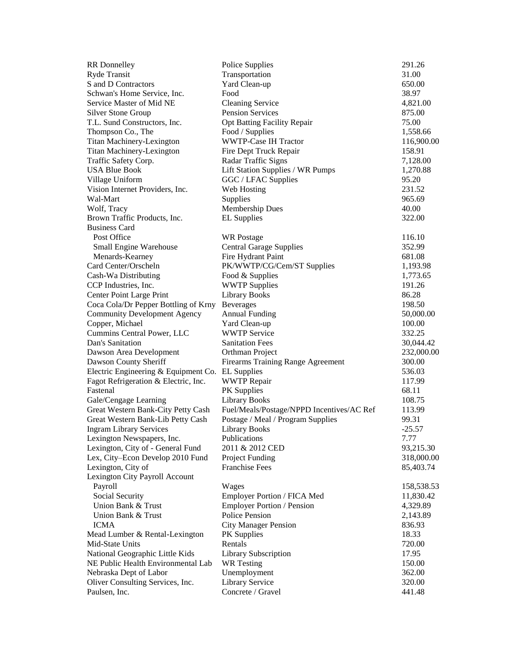| Ryde Transit<br>Transportation<br>31.00<br>S and D Contractors<br>Yard Clean-up<br>650.00<br>Schwan's Home Service, Inc.<br>Food<br>38.97<br>Service Master of Mid NE<br><b>Cleaning Service</b><br>4,821.00<br><b>Pension Services</b><br><b>Silver Stone Group</b><br>875.00<br>T.L. Sund Constructors, Inc.<br>Opt Batting Facility Repair<br>75.00<br>Food / Supplies<br>Thompson Co., The<br>1,558.66<br>Titan Machinery-Lexington<br><b>WWTP-Case IH Tractor</b><br><b>Titan Machinery-Lexington</b><br>Fire Dept Truck Repair<br>158.91<br>Traffic Safety Corp.<br>Radar Traffic Signs<br>7,128.00<br><b>USA Blue Book</b><br>Lift Station Supplies / WR Pumps<br>1,270.88<br>Village Uniform<br>GGC / LFAC Supplies<br>95.20<br>Vision Internet Providers, Inc.<br>231.52<br>Web Hosting<br>Wal-Mart<br>Supplies<br>965.69<br><b>Membership Dues</b><br>Wolf, Tracy<br>40.00<br>Brown Traffic Products, Inc.<br><b>EL Supplies</b><br>322.00<br><b>Business Card</b><br>Post Office<br><b>WR</b> Postage<br>116.10<br>Small Engine Warehouse<br><b>Central Garage Supplies</b><br>352.99<br>Fire Hydrant Paint<br>Menards-Kearney<br>681.08<br>Card Center/Orscheln<br>PK/WWTP/CG/Cem/ST Supplies<br>1,193.98<br>Cash-Wa Distributing<br>Food & Supplies<br>1,773.65<br><b>WWTP Supplies</b><br>CCP Industries, Inc.<br>191.26<br>Center Point Large Print<br><b>Library Books</b><br>86.28<br>Coca Cola/Dr Pepper Bottling of Krny<br><b>Beverages</b><br>198.50<br><b>Annual Funding</b><br><b>Community Development Agency</b><br>50,000.00<br>Copper, Michael<br>Yard Clean-up<br>100.00<br>Cummins Central Power, LLC<br><b>WWTP Service</b><br>332.25<br>Dan's Sanitation<br><b>Sanitation Fees</b><br>30,044.42<br>Dawson Area Development<br>Orthman Project<br>232,000.00<br>Dawson County Sheriff<br>Firearms Training Range Agreement<br>300.00<br>Electric Engineering & Equipment Co.<br><b>EL</b> Supplies<br>536.03<br>Fagot Refrigeration & Electric, Inc.<br><b>WWTP Repair</b><br>117.99<br>Fastenal<br>PK Supplies<br>68.11<br>Gale/Cengage Learning<br><b>Library Books</b><br>108.75<br>Great Western Bank-City Petty Cash<br>Fuel/Meals/Postage/NPPD Incentives/AC Ref<br>113.99<br>Great Western Bank-Lib Petty Cash<br>Postage / Meal / Program Supplies<br>99.31<br><b>Ingram Library Services</b><br><b>Library Books</b><br>$-25.57$<br>Lexington Newspapers, Inc.<br>Publications<br>7.77<br>Lexington, City of - General Fund<br>2011 & 2012 CED<br>93,215.30<br>Lex, City-Econ Develop 2010 Fund<br>Project Funding<br>Lexington, City of<br><b>Franchise Fees</b><br>85,403.74<br>Lexington City Payroll Account<br>Payroll<br>Wages<br>Social Security<br>Employer Portion / FICA Med<br>11,830.42<br>Union Bank & Trust<br><b>Employer Portion / Pension</b><br>4,329.89<br>Police Pension<br>Union Bank & Trust<br>2,143.89<br><b>ICMA</b><br><b>City Manager Pension</b><br>836.93<br>Mead Lumber & Rental-Lexington<br>18.33<br>PK Supplies<br>Mid-State Units<br>Rentals<br>720.00<br>National Geographic Little Kids<br>Library Subscription<br>17.95<br>NE Public Health Environmental Lab<br><b>WR</b> Testing<br>150.00<br>Nebraska Dept of Labor<br>Unemployment<br>362.00<br>Library Service<br>Oliver Consulting Services, Inc.<br>320.00 | <b>RR</b> Donnelley | Police Supplies | 291.26     |
|-----------------------------------------------------------------------------------------------------------------------------------------------------------------------------------------------------------------------------------------------------------------------------------------------------------------------------------------------------------------------------------------------------------------------------------------------------------------------------------------------------------------------------------------------------------------------------------------------------------------------------------------------------------------------------------------------------------------------------------------------------------------------------------------------------------------------------------------------------------------------------------------------------------------------------------------------------------------------------------------------------------------------------------------------------------------------------------------------------------------------------------------------------------------------------------------------------------------------------------------------------------------------------------------------------------------------------------------------------------------------------------------------------------------------------------------------------------------------------------------------------------------------------------------------------------------------------------------------------------------------------------------------------------------------------------------------------------------------------------------------------------------------------------------------------------------------------------------------------------------------------------------------------------------------------------------------------------------------------------------------------------------------------------------------------------------------------------------------------------------------------------------------------------------------------------------------------------------------------------------------------------------------------------------------------------------------------------------------------------------------------------------------------------------------------------------------------------------------------------------------------------------------------------------------------------------------------------------------------------------------------------------------------------------------------------------------------------------------------------------------------------------------------------------------------------------------------------------------------------------------------------------------------------------------------------------------------------------------------------------------------------------------------------------------------------------------------------------------------------------------------------------------------------------------------------------------------------------------------------------------------------------------------------------------|---------------------|-----------------|------------|
|                                                                                                                                                                                                                                                                                                                                                                                                                                                                                                                                                                                                                                                                                                                                                                                                                                                                                                                                                                                                                                                                                                                                                                                                                                                                                                                                                                                                                                                                                                                                                                                                                                                                                                                                                                                                                                                                                                                                                                                                                                                                                                                                                                                                                                                                                                                                                                                                                                                                                                                                                                                                                                                                                                                                                                                                                                                                                                                                                                                                                                                                                                                                                                                                                                                                                               |                     |                 |            |
|                                                                                                                                                                                                                                                                                                                                                                                                                                                                                                                                                                                                                                                                                                                                                                                                                                                                                                                                                                                                                                                                                                                                                                                                                                                                                                                                                                                                                                                                                                                                                                                                                                                                                                                                                                                                                                                                                                                                                                                                                                                                                                                                                                                                                                                                                                                                                                                                                                                                                                                                                                                                                                                                                                                                                                                                                                                                                                                                                                                                                                                                                                                                                                                                                                                                                               |                     |                 |            |
|                                                                                                                                                                                                                                                                                                                                                                                                                                                                                                                                                                                                                                                                                                                                                                                                                                                                                                                                                                                                                                                                                                                                                                                                                                                                                                                                                                                                                                                                                                                                                                                                                                                                                                                                                                                                                                                                                                                                                                                                                                                                                                                                                                                                                                                                                                                                                                                                                                                                                                                                                                                                                                                                                                                                                                                                                                                                                                                                                                                                                                                                                                                                                                                                                                                                                               |                     |                 |            |
|                                                                                                                                                                                                                                                                                                                                                                                                                                                                                                                                                                                                                                                                                                                                                                                                                                                                                                                                                                                                                                                                                                                                                                                                                                                                                                                                                                                                                                                                                                                                                                                                                                                                                                                                                                                                                                                                                                                                                                                                                                                                                                                                                                                                                                                                                                                                                                                                                                                                                                                                                                                                                                                                                                                                                                                                                                                                                                                                                                                                                                                                                                                                                                                                                                                                                               |                     |                 |            |
|                                                                                                                                                                                                                                                                                                                                                                                                                                                                                                                                                                                                                                                                                                                                                                                                                                                                                                                                                                                                                                                                                                                                                                                                                                                                                                                                                                                                                                                                                                                                                                                                                                                                                                                                                                                                                                                                                                                                                                                                                                                                                                                                                                                                                                                                                                                                                                                                                                                                                                                                                                                                                                                                                                                                                                                                                                                                                                                                                                                                                                                                                                                                                                                                                                                                                               |                     |                 |            |
|                                                                                                                                                                                                                                                                                                                                                                                                                                                                                                                                                                                                                                                                                                                                                                                                                                                                                                                                                                                                                                                                                                                                                                                                                                                                                                                                                                                                                                                                                                                                                                                                                                                                                                                                                                                                                                                                                                                                                                                                                                                                                                                                                                                                                                                                                                                                                                                                                                                                                                                                                                                                                                                                                                                                                                                                                                                                                                                                                                                                                                                                                                                                                                                                                                                                                               |                     |                 |            |
|                                                                                                                                                                                                                                                                                                                                                                                                                                                                                                                                                                                                                                                                                                                                                                                                                                                                                                                                                                                                                                                                                                                                                                                                                                                                                                                                                                                                                                                                                                                                                                                                                                                                                                                                                                                                                                                                                                                                                                                                                                                                                                                                                                                                                                                                                                                                                                                                                                                                                                                                                                                                                                                                                                                                                                                                                                                                                                                                                                                                                                                                                                                                                                                                                                                                                               |                     |                 |            |
|                                                                                                                                                                                                                                                                                                                                                                                                                                                                                                                                                                                                                                                                                                                                                                                                                                                                                                                                                                                                                                                                                                                                                                                                                                                                                                                                                                                                                                                                                                                                                                                                                                                                                                                                                                                                                                                                                                                                                                                                                                                                                                                                                                                                                                                                                                                                                                                                                                                                                                                                                                                                                                                                                                                                                                                                                                                                                                                                                                                                                                                                                                                                                                                                                                                                                               |                     |                 | 116,900.00 |
|                                                                                                                                                                                                                                                                                                                                                                                                                                                                                                                                                                                                                                                                                                                                                                                                                                                                                                                                                                                                                                                                                                                                                                                                                                                                                                                                                                                                                                                                                                                                                                                                                                                                                                                                                                                                                                                                                                                                                                                                                                                                                                                                                                                                                                                                                                                                                                                                                                                                                                                                                                                                                                                                                                                                                                                                                                                                                                                                                                                                                                                                                                                                                                                                                                                                                               |                     |                 |            |
|                                                                                                                                                                                                                                                                                                                                                                                                                                                                                                                                                                                                                                                                                                                                                                                                                                                                                                                                                                                                                                                                                                                                                                                                                                                                                                                                                                                                                                                                                                                                                                                                                                                                                                                                                                                                                                                                                                                                                                                                                                                                                                                                                                                                                                                                                                                                                                                                                                                                                                                                                                                                                                                                                                                                                                                                                                                                                                                                                                                                                                                                                                                                                                                                                                                                                               |                     |                 |            |
|                                                                                                                                                                                                                                                                                                                                                                                                                                                                                                                                                                                                                                                                                                                                                                                                                                                                                                                                                                                                                                                                                                                                                                                                                                                                                                                                                                                                                                                                                                                                                                                                                                                                                                                                                                                                                                                                                                                                                                                                                                                                                                                                                                                                                                                                                                                                                                                                                                                                                                                                                                                                                                                                                                                                                                                                                                                                                                                                                                                                                                                                                                                                                                                                                                                                                               |                     |                 |            |
|                                                                                                                                                                                                                                                                                                                                                                                                                                                                                                                                                                                                                                                                                                                                                                                                                                                                                                                                                                                                                                                                                                                                                                                                                                                                                                                                                                                                                                                                                                                                                                                                                                                                                                                                                                                                                                                                                                                                                                                                                                                                                                                                                                                                                                                                                                                                                                                                                                                                                                                                                                                                                                                                                                                                                                                                                                                                                                                                                                                                                                                                                                                                                                                                                                                                                               |                     |                 |            |
|                                                                                                                                                                                                                                                                                                                                                                                                                                                                                                                                                                                                                                                                                                                                                                                                                                                                                                                                                                                                                                                                                                                                                                                                                                                                                                                                                                                                                                                                                                                                                                                                                                                                                                                                                                                                                                                                                                                                                                                                                                                                                                                                                                                                                                                                                                                                                                                                                                                                                                                                                                                                                                                                                                                                                                                                                                                                                                                                                                                                                                                                                                                                                                                                                                                                                               |                     |                 |            |
|                                                                                                                                                                                                                                                                                                                                                                                                                                                                                                                                                                                                                                                                                                                                                                                                                                                                                                                                                                                                                                                                                                                                                                                                                                                                                                                                                                                                                                                                                                                                                                                                                                                                                                                                                                                                                                                                                                                                                                                                                                                                                                                                                                                                                                                                                                                                                                                                                                                                                                                                                                                                                                                                                                                                                                                                                                                                                                                                                                                                                                                                                                                                                                                                                                                                                               |                     |                 |            |
|                                                                                                                                                                                                                                                                                                                                                                                                                                                                                                                                                                                                                                                                                                                                                                                                                                                                                                                                                                                                                                                                                                                                                                                                                                                                                                                                                                                                                                                                                                                                                                                                                                                                                                                                                                                                                                                                                                                                                                                                                                                                                                                                                                                                                                                                                                                                                                                                                                                                                                                                                                                                                                                                                                                                                                                                                                                                                                                                                                                                                                                                                                                                                                                                                                                                                               |                     |                 |            |
|                                                                                                                                                                                                                                                                                                                                                                                                                                                                                                                                                                                                                                                                                                                                                                                                                                                                                                                                                                                                                                                                                                                                                                                                                                                                                                                                                                                                                                                                                                                                                                                                                                                                                                                                                                                                                                                                                                                                                                                                                                                                                                                                                                                                                                                                                                                                                                                                                                                                                                                                                                                                                                                                                                                                                                                                                                                                                                                                                                                                                                                                                                                                                                                                                                                                                               |                     |                 |            |
|                                                                                                                                                                                                                                                                                                                                                                                                                                                                                                                                                                                                                                                                                                                                                                                                                                                                                                                                                                                                                                                                                                                                                                                                                                                                                                                                                                                                                                                                                                                                                                                                                                                                                                                                                                                                                                                                                                                                                                                                                                                                                                                                                                                                                                                                                                                                                                                                                                                                                                                                                                                                                                                                                                                                                                                                                                                                                                                                                                                                                                                                                                                                                                                                                                                                                               |                     |                 |            |
|                                                                                                                                                                                                                                                                                                                                                                                                                                                                                                                                                                                                                                                                                                                                                                                                                                                                                                                                                                                                                                                                                                                                                                                                                                                                                                                                                                                                                                                                                                                                                                                                                                                                                                                                                                                                                                                                                                                                                                                                                                                                                                                                                                                                                                                                                                                                                                                                                                                                                                                                                                                                                                                                                                                                                                                                                                                                                                                                                                                                                                                                                                                                                                                                                                                                                               |                     |                 |            |
|                                                                                                                                                                                                                                                                                                                                                                                                                                                                                                                                                                                                                                                                                                                                                                                                                                                                                                                                                                                                                                                                                                                                                                                                                                                                                                                                                                                                                                                                                                                                                                                                                                                                                                                                                                                                                                                                                                                                                                                                                                                                                                                                                                                                                                                                                                                                                                                                                                                                                                                                                                                                                                                                                                                                                                                                                                                                                                                                                                                                                                                                                                                                                                                                                                                                                               |                     |                 |            |
|                                                                                                                                                                                                                                                                                                                                                                                                                                                                                                                                                                                                                                                                                                                                                                                                                                                                                                                                                                                                                                                                                                                                                                                                                                                                                                                                                                                                                                                                                                                                                                                                                                                                                                                                                                                                                                                                                                                                                                                                                                                                                                                                                                                                                                                                                                                                                                                                                                                                                                                                                                                                                                                                                                                                                                                                                                                                                                                                                                                                                                                                                                                                                                                                                                                                                               |                     |                 |            |
|                                                                                                                                                                                                                                                                                                                                                                                                                                                                                                                                                                                                                                                                                                                                                                                                                                                                                                                                                                                                                                                                                                                                                                                                                                                                                                                                                                                                                                                                                                                                                                                                                                                                                                                                                                                                                                                                                                                                                                                                                                                                                                                                                                                                                                                                                                                                                                                                                                                                                                                                                                                                                                                                                                                                                                                                                                                                                                                                                                                                                                                                                                                                                                                                                                                                                               |                     |                 |            |
|                                                                                                                                                                                                                                                                                                                                                                                                                                                                                                                                                                                                                                                                                                                                                                                                                                                                                                                                                                                                                                                                                                                                                                                                                                                                                                                                                                                                                                                                                                                                                                                                                                                                                                                                                                                                                                                                                                                                                                                                                                                                                                                                                                                                                                                                                                                                                                                                                                                                                                                                                                                                                                                                                                                                                                                                                                                                                                                                                                                                                                                                                                                                                                                                                                                                                               |                     |                 |            |
|                                                                                                                                                                                                                                                                                                                                                                                                                                                                                                                                                                                                                                                                                                                                                                                                                                                                                                                                                                                                                                                                                                                                                                                                                                                                                                                                                                                                                                                                                                                                                                                                                                                                                                                                                                                                                                                                                                                                                                                                                                                                                                                                                                                                                                                                                                                                                                                                                                                                                                                                                                                                                                                                                                                                                                                                                                                                                                                                                                                                                                                                                                                                                                                                                                                                                               |                     |                 |            |
|                                                                                                                                                                                                                                                                                                                                                                                                                                                                                                                                                                                                                                                                                                                                                                                                                                                                                                                                                                                                                                                                                                                                                                                                                                                                                                                                                                                                                                                                                                                                                                                                                                                                                                                                                                                                                                                                                                                                                                                                                                                                                                                                                                                                                                                                                                                                                                                                                                                                                                                                                                                                                                                                                                                                                                                                                                                                                                                                                                                                                                                                                                                                                                                                                                                                                               |                     |                 |            |
|                                                                                                                                                                                                                                                                                                                                                                                                                                                                                                                                                                                                                                                                                                                                                                                                                                                                                                                                                                                                                                                                                                                                                                                                                                                                                                                                                                                                                                                                                                                                                                                                                                                                                                                                                                                                                                                                                                                                                                                                                                                                                                                                                                                                                                                                                                                                                                                                                                                                                                                                                                                                                                                                                                                                                                                                                                                                                                                                                                                                                                                                                                                                                                                                                                                                                               |                     |                 |            |
|                                                                                                                                                                                                                                                                                                                                                                                                                                                                                                                                                                                                                                                                                                                                                                                                                                                                                                                                                                                                                                                                                                                                                                                                                                                                                                                                                                                                                                                                                                                                                                                                                                                                                                                                                                                                                                                                                                                                                                                                                                                                                                                                                                                                                                                                                                                                                                                                                                                                                                                                                                                                                                                                                                                                                                                                                                                                                                                                                                                                                                                                                                                                                                                                                                                                                               |                     |                 |            |
|                                                                                                                                                                                                                                                                                                                                                                                                                                                                                                                                                                                                                                                                                                                                                                                                                                                                                                                                                                                                                                                                                                                                                                                                                                                                                                                                                                                                                                                                                                                                                                                                                                                                                                                                                                                                                                                                                                                                                                                                                                                                                                                                                                                                                                                                                                                                                                                                                                                                                                                                                                                                                                                                                                                                                                                                                                                                                                                                                                                                                                                                                                                                                                                                                                                                                               |                     |                 |            |
|                                                                                                                                                                                                                                                                                                                                                                                                                                                                                                                                                                                                                                                                                                                                                                                                                                                                                                                                                                                                                                                                                                                                                                                                                                                                                                                                                                                                                                                                                                                                                                                                                                                                                                                                                                                                                                                                                                                                                                                                                                                                                                                                                                                                                                                                                                                                                                                                                                                                                                                                                                                                                                                                                                                                                                                                                                                                                                                                                                                                                                                                                                                                                                                                                                                                                               |                     |                 |            |
|                                                                                                                                                                                                                                                                                                                                                                                                                                                                                                                                                                                                                                                                                                                                                                                                                                                                                                                                                                                                                                                                                                                                                                                                                                                                                                                                                                                                                                                                                                                                                                                                                                                                                                                                                                                                                                                                                                                                                                                                                                                                                                                                                                                                                                                                                                                                                                                                                                                                                                                                                                                                                                                                                                                                                                                                                                                                                                                                                                                                                                                                                                                                                                                                                                                                                               |                     |                 |            |
|                                                                                                                                                                                                                                                                                                                                                                                                                                                                                                                                                                                                                                                                                                                                                                                                                                                                                                                                                                                                                                                                                                                                                                                                                                                                                                                                                                                                                                                                                                                                                                                                                                                                                                                                                                                                                                                                                                                                                                                                                                                                                                                                                                                                                                                                                                                                                                                                                                                                                                                                                                                                                                                                                                                                                                                                                                                                                                                                                                                                                                                                                                                                                                                                                                                                                               |                     |                 |            |
|                                                                                                                                                                                                                                                                                                                                                                                                                                                                                                                                                                                                                                                                                                                                                                                                                                                                                                                                                                                                                                                                                                                                                                                                                                                                                                                                                                                                                                                                                                                                                                                                                                                                                                                                                                                                                                                                                                                                                                                                                                                                                                                                                                                                                                                                                                                                                                                                                                                                                                                                                                                                                                                                                                                                                                                                                                                                                                                                                                                                                                                                                                                                                                                                                                                                                               |                     |                 |            |
|                                                                                                                                                                                                                                                                                                                                                                                                                                                                                                                                                                                                                                                                                                                                                                                                                                                                                                                                                                                                                                                                                                                                                                                                                                                                                                                                                                                                                                                                                                                                                                                                                                                                                                                                                                                                                                                                                                                                                                                                                                                                                                                                                                                                                                                                                                                                                                                                                                                                                                                                                                                                                                                                                                                                                                                                                                                                                                                                                                                                                                                                                                                                                                                                                                                                                               |                     |                 |            |
|                                                                                                                                                                                                                                                                                                                                                                                                                                                                                                                                                                                                                                                                                                                                                                                                                                                                                                                                                                                                                                                                                                                                                                                                                                                                                                                                                                                                                                                                                                                                                                                                                                                                                                                                                                                                                                                                                                                                                                                                                                                                                                                                                                                                                                                                                                                                                                                                                                                                                                                                                                                                                                                                                                                                                                                                                                                                                                                                                                                                                                                                                                                                                                                                                                                                                               |                     |                 |            |
|                                                                                                                                                                                                                                                                                                                                                                                                                                                                                                                                                                                                                                                                                                                                                                                                                                                                                                                                                                                                                                                                                                                                                                                                                                                                                                                                                                                                                                                                                                                                                                                                                                                                                                                                                                                                                                                                                                                                                                                                                                                                                                                                                                                                                                                                                                                                                                                                                                                                                                                                                                                                                                                                                                                                                                                                                                                                                                                                                                                                                                                                                                                                                                                                                                                                                               |                     |                 |            |
|                                                                                                                                                                                                                                                                                                                                                                                                                                                                                                                                                                                                                                                                                                                                                                                                                                                                                                                                                                                                                                                                                                                                                                                                                                                                                                                                                                                                                                                                                                                                                                                                                                                                                                                                                                                                                                                                                                                                                                                                                                                                                                                                                                                                                                                                                                                                                                                                                                                                                                                                                                                                                                                                                                                                                                                                                                                                                                                                                                                                                                                                                                                                                                                                                                                                                               |                     |                 |            |
|                                                                                                                                                                                                                                                                                                                                                                                                                                                                                                                                                                                                                                                                                                                                                                                                                                                                                                                                                                                                                                                                                                                                                                                                                                                                                                                                                                                                                                                                                                                                                                                                                                                                                                                                                                                                                                                                                                                                                                                                                                                                                                                                                                                                                                                                                                                                                                                                                                                                                                                                                                                                                                                                                                                                                                                                                                                                                                                                                                                                                                                                                                                                                                                                                                                                                               |                     |                 |            |
|                                                                                                                                                                                                                                                                                                                                                                                                                                                                                                                                                                                                                                                                                                                                                                                                                                                                                                                                                                                                                                                                                                                                                                                                                                                                                                                                                                                                                                                                                                                                                                                                                                                                                                                                                                                                                                                                                                                                                                                                                                                                                                                                                                                                                                                                                                                                                                                                                                                                                                                                                                                                                                                                                                                                                                                                                                                                                                                                                                                                                                                                                                                                                                                                                                                                                               |                     |                 |            |
|                                                                                                                                                                                                                                                                                                                                                                                                                                                                                                                                                                                                                                                                                                                                                                                                                                                                                                                                                                                                                                                                                                                                                                                                                                                                                                                                                                                                                                                                                                                                                                                                                                                                                                                                                                                                                                                                                                                                                                                                                                                                                                                                                                                                                                                                                                                                                                                                                                                                                                                                                                                                                                                                                                                                                                                                                                                                                                                                                                                                                                                                                                                                                                                                                                                                                               |                     |                 |            |
|                                                                                                                                                                                                                                                                                                                                                                                                                                                                                                                                                                                                                                                                                                                                                                                                                                                                                                                                                                                                                                                                                                                                                                                                                                                                                                                                                                                                                                                                                                                                                                                                                                                                                                                                                                                                                                                                                                                                                                                                                                                                                                                                                                                                                                                                                                                                                                                                                                                                                                                                                                                                                                                                                                                                                                                                                                                                                                                                                                                                                                                                                                                                                                                                                                                                                               |                     |                 |            |
|                                                                                                                                                                                                                                                                                                                                                                                                                                                                                                                                                                                                                                                                                                                                                                                                                                                                                                                                                                                                                                                                                                                                                                                                                                                                                                                                                                                                                                                                                                                                                                                                                                                                                                                                                                                                                                                                                                                                                                                                                                                                                                                                                                                                                                                                                                                                                                                                                                                                                                                                                                                                                                                                                                                                                                                                                                                                                                                                                                                                                                                                                                                                                                                                                                                                                               |                     |                 |            |
|                                                                                                                                                                                                                                                                                                                                                                                                                                                                                                                                                                                                                                                                                                                                                                                                                                                                                                                                                                                                                                                                                                                                                                                                                                                                                                                                                                                                                                                                                                                                                                                                                                                                                                                                                                                                                                                                                                                                                                                                                                                                                                                                                                                                                                                                                                                                                                                                                                                                                                                                                                                                                                                                                                                                                                                                                                                                                                                                                                                                                                                                                                                                                                                                                                                                                               |                     |                 | 318,000.00 |
|                                                                                                                                                                                                                                                                                                                                                                                                                                                                                                                                                                                                                                                                                                                                                                                                                                                                                                                                                                                                                                                                                                                                                                                                                                                                                                                                                                                                                                                                                                                                                                                                                                                                                                                                                                                                                                                                                                                                                                                                                                                                                                                                                                                                                                                                                                                                                                                                                                                                                                                                                                                                                                                                                                                                                                                                                                                                                                                                                                                                                                                                                                                                                                                                                                                                                               |                     |                 |            |
|                                                                                                                                                                                                                                                                                                                                                                                                                                                                                                                                                                                                                                                                                                                                                                                                                                                                                                                                                                                                                                                                                                                                                                                                                                                                                                                                                                                                                                                                                                                                                                                                                                                                                                                                                                                                                                                                                                                                                                                                                                                                                                                                                                                                                                                                                                                                                                                                                                                                                                                                                                                                                                                                                                                                                                                                                                                                                                                                                                                                                                                                                                                                                                                                                                                                                               |                     |                 |            |
|                                                                                                                                                                                                                                                                                                                                                                                                                                                                                                                                                                                                                                                                                                                                                                                                                                                                                                                                                                                                                                                                                                                                                                                                                                                                                                                                                                                                                                                                                                                                                                                                                                                                                                                                                                                                                                                                                                                                                                                                                                                                                                                                                                                                                                                                                                                                                                                                                                                                                                                                                                                                                                                                                                                                                                                                                                                                                                                                                                                                                                                                                                                                                                                                                                                                                               |                     |                 | 158,538.53 |
|                                                                                                                                                                                                                                                                                                                                                                                                                                                                                                                                                                                                                                                                                                                                                                                                                                                                                                                                                                                                                                                                                                                                                                                                                                                                                                                                                                                                                                                                                                                                                                                                                                                                                                                                                                                                                                                                                                                                                                                                                                                                                                                                                                                                                                                                                                                                                                                                                                                                                                                                                                                                                                                                                                                                                                                                                                                                                                                                                                                                                                                                                                                                                                                                                                                                                               |                     |                 |            |
|                                                                                                                                                                                                                                                                                                                                                                                                                                                                                                                                                                                                                                                                                                                                                                                                                                                                                                                                                                                                                                                                                                                                                                                                                                                                                                                                                                                                                                                                                                                                                                                                                                                                                                                                                                                                                                                                                                                                                                                                                                                                                                                                                                                                                                                                                                                                                                                                                                                                                                                                                                                                                                                                                                                                                                                                                                                                                                                                                                                                                                                                                                                                                                                                                                                                                               |                     |                 |            |
|                                                                                                                                                                                                                                                                                                                                                                                                                                                                                                                                                                                                                                                                                                                                                                                                                                                                                                                                                                                                                                                                                                                                                                                                                                                                                                                                                                                                                                                                                                                                                                                                                                                                                                                                                                                                                                                                                                                                                                                                                                                                                                                                                                                                                                                                                                                                                                                                                                                                                                                                                                                                                                                                                                                                                                                                                                                                                                                                                                                                                                                                                                                                                                                                                                                                                               |                     |                 |            |
|                                                                                                                                                                                                                                                                                                                                                                                                                                                                                                                                                                                                                                                                                                                                                                                                                                                                                                                                                                                                                                                                                                                                                                                                                                                                                                                                                                                                                                                                                                                                                                                                                                                                                                                                                                                                                                                                                                                                                                                                                                                                                                                                                                                                                                                                                                                                                                                                                                                                                                                                                                                                                                                                                                                                                                                                                                                                                                                                                                                                                                                                                                                                                                                                                                                                                               |                     |                 |            |
|                                                                                                                                                                                                                                                                                                                                                                                                                                                                                                                                                                                                                                                                                                                                                                                                                                                                                                                                                                                                                                                                                                                                                                                                                                                                                                                                                                                                                                                                                                                                                                                                                                                                                                                                                                                                                                                                                                                                                                                                                                                                                                                                                                                                                                                                                                                                                                                                                                                                                                                                                                                                                                                                                                                                                                                                                                                                                                                                                                                                                                                                                                                                                                                                                                                                                               |                     |                 |            |
|                                                                                                                                                                                                                                                                                                                                                                                                                                                                                                                                                                                                                                                                                                                                                                                                                                                                                                                                                                                                                                                                                                                                                                                                                                                                                                                                                                                                                                                                                                                                                                                                                                                                                                                                                                                                                                                                                                                                                                                                                                                                                                                                                                                                                                                                                                                                                                                                                                                                                                                                                                                                                                                                                                                                                                                                                                                                                                                                                                                                                                                                                                                                                                                                                                                                                               |                     |                 |            |
|                                                                                                                                                                                                                                                                                                                                                                                                                                                                                                                                                                                                                                                                                                                                                                                                                                                                                                                                                                                                                                                                                                                                                                                                                                                                                                                                                                                                                                                                                                                                                                                                                                                                                                                                                                                                                                                                                                                                                                                                                                                                                                                                                                                                                                                                                                                                                                                                                                                                                                                                                                                                                                                                                                                                                                                                                                                                                                                                                                                                                                                                                                                                                                                                                                                                                               |                     |                 |            |
|                                                                                                                                                                                                                                                                                                                                                                                                                                                                                                                                                                                                                                                                                                                                                                                                                                                                                                                                                                                                                                                                                                                                                                                                                                                                                                                                                                                                                                                                                                                                                                                                                                                                                                                                                                                                                                                                                                                                                                                                                                                                                                                                                                                                                                                                                                                                                                                                                                                                                                                                                                                                                                                                                                                                                                                                                                                                                                                                                                                                                                                                                                                                                                                                                                                                                               |                     |                 |            |
|                                                                                                                                                                                                                                                                                                                                                                                                                                                                                                                                                                                                                                                                                                                                                                                                                                                                                                                                                                                                                                                                                                                                                                                                                                                                                                                                                                                                                                                                                                                                                                                                                                                                                                                                                                                                                                                                                                                                                                                                                                                                                                                                                                                                                                                                                                                                                                                                                                                                                                                                                                                                                                                                                                                                                                                                                                                                                                                                                                                                                                                                                                                                                                                                                                                                                               |                     |                 |            |
|                                                                                                                                                                                                                                                                                                                                                                                                                                                                                                                                                                                                                                                                                                                                                                                                                                                                                                                                                                                                                                                                                                                                                                                                                                                                                                                                                                                                                                                                                                                                                                                                                                                                                                                                                                                                                                                                                                                                                                                                                                                                                                                                                                                                                                                                                                                                                                                                                                                                                                                                                                                                                                                                                                                                                                                                                                                                                                                                                                                                                                                                                                                                                                                                                                                                                               |                     |                 |            |
| Concrete / Gravel<br>Paulsen, Inc.<br>441.48                                                                                                                                                                                                                                                                                                                                                                                                                                                                                                                                                                                                                                                                                                                                                                                                                                                                                                                                                                                                                                                                                                                                                                                                                                                                                                                                                                                                                                                                                                                                                                                                                                                                                                                                                                                                                                                                                                                                                                                                                                                                                                                                                                                                                                                                                                                                                                                                                                                                                                                                                                                                                                                                                                                                                                                                                                                                                                                                                                                                                                                                                                                                                                                                                                                  |                     |                 |            |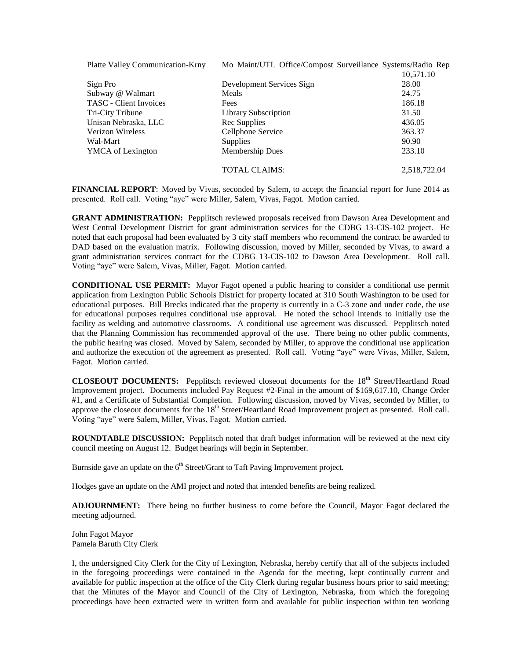| <b>Platte Valley Communication-Krny</b> |                           | Mo Maint/UTL Office/Compost Surveillance Systems/Radio Rep |
|-----------------------------------------|---------------------------|------------------------------------------------------------|
|                                         |                           | 10,571.10                                                  |
| Sign Pro                                | Development Services Sign | 28.00                                                      |
| Subway @ Walmart                        | Meals                     | 24.75                                                      |
| <b>TASC</b> - Client Invoices           | Fees                      | 186.18                                                     |
| Tri-City Tribune                        | Library Subscription      | 31.50                                                      |
| Unisan Nebraska, LLC                    | Rec Supplies              | 436.05                                                     |
| <b>Verizon Wireless</b>                 | Cellphone Service         | 363.37                                                     |
| Wal-Mart                                | <b>Supplies</b>           | 90.90                                                      |
| YMCA of Lexington                       | <b>Membership Dues</b>    | 233.10                                                     |
|                                         |                           |                                                            |
|                                         | <b>TOTAL CLAIMS:</b>      | 2,518,722.04                                               |

**FINANCIAL REPORT**: Moved by Vivas, seconded by Salem, to accept the financial report for June 2014 as presented. Roll call. Voting "aye" were Miller, Salem, Vivas, Fagot. Motion carried.

**GRANT ADMINISTRATION:** Pepplitsch reviewed proposals received from Dawson Area Development and West Central Development District for grant administration services for the CDBG 13-CIS-102 project. He noted that each proposal had been evaluated by 3 city staff members who recommend the contract be awarded to DAD based on the evaluation matrix. Following discussion, moved by Miller, seconded by Vivas, to award a grant administration services contract for the CDBG 13-CIS-102 to Dawson Area Development. Roll call. Voting "aye" were Salem, Vivas, Miller, Fagot. Motion carried.

**CONDITIONAL USE PERMIT:** Mayor Fagot opened a public hearing to consider a conditional use permit application from Lexington Public Schools District for property located at 310 South Washington to be used for educational purposes. Bill Brecks indicated that the property is currently in a C-3 zone and under code, the use for educational purposes requires conditional use approval. He noted the school intends to initially use the facility as welding and automotive classrooms. A conditional use agreement was discussed. Pepplitsch noted that the Planning Commission has recommended approval of the use. There being no other public comments, the public hearing was closed. Moved by Salem, seconded by Miller, to approve the conditional use application and authorize the execution of the agreement as presented. Roll call. Voting "aye" were Vivas, Miller, Salem, Fagot. Motion carried.

**CLOSEOUT DOCUMENTS:** Pepplitsch reviewed closeout documents for the 18<sup>th</sup> Street/Heartland Road Improvement project. Documents included Pay Request #2-Final in the amount of \$169,617.10, Change Order #1, and a Certificate of Substantial Completion. Following discussion, moved by Vivas, seconded by Miller, to approve the closeout documents for the 18<sup>th</sup> Street/Heartland Road Improvement project as presented. Roll call. Voting "aye" were Salem, Miller, Vivas, Fagot. Motion carried.

**ROUNDTABLE DISCUSSION:** Pepplitsch noted that draft budget information will be reviewed at the next city council meeting on August 12. Budget hearings will begin in September.

Burnside gave an update on the 6<sup>th</sup> Street/Grant to Taft Paving Improvement project.

Hodges gave an update on the AMI project and noted that intended benefits are being realized.

**ADJOURNMENT:** There being no further business to come before the Council, Mayor Fagot declared the meeting adjourned.

John Fagot Mayor Pamela Baruth City Clerk

I, the undersigned City Clerk for the City of Lexington, Nebraska, hereby certify that all of the subjects included in the foregoing proceedings were contained in the Agenda for the meeting, kept continually current and available for public inspection at the office of the City Clerk during regular business hours prior to said meeting; that the Minutes of the Mayor and Council of the City of Lexington, Nebraska, from which the foregoing proceedings have been extracted were in written form and available for public inspection within ten working